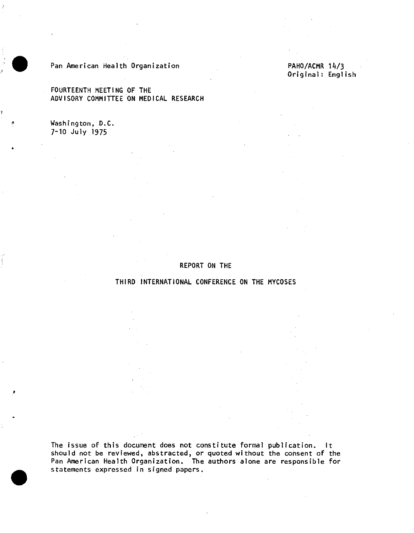

## Pan American Health Organization **PAHO/ACMR** 14/3

FOURTEENTH MEETING OF THE ADVISORY COMMITTEE ON MEDICAL RESEARCH

Washington, D.C. 7-10 July 1975

Original: English

## REPORT ON THE

THIRD INTERNATIONAL CONFERENCE ON THE MYCOSES

The issue of this document does not constitute formal publication. It should not be reviewed, abstracted, or quoted without the consent of the Pan American Health Organization. The authors alone are responsible for statements expressed in signed papers.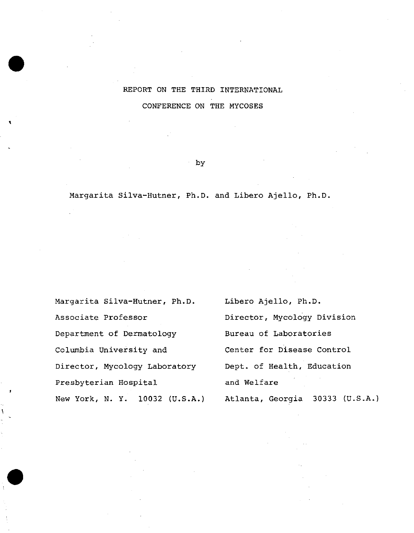## REPORT ON THE THIRD INTERNATIONAL CONFERENCE ON THE MYCOSES

## by

Margarita Silva-Hutner, Ph.D. and Libero Ajello, Ph.D.

Margarita Silva-Hutner, Ph.D. Associate Professor Department of Dermatology Columbia University and Director, Mycology Laboratory Presbyterian Hospital New York, N. Y. 10032 (U.S.A.) Libero Ajello, Ph.D. Director, Mycology Division Bureau of Laboratories Center for Disease Control Dept. of Health, Education and Welfare Atlanta, Georgia 30333 (U.S.A.)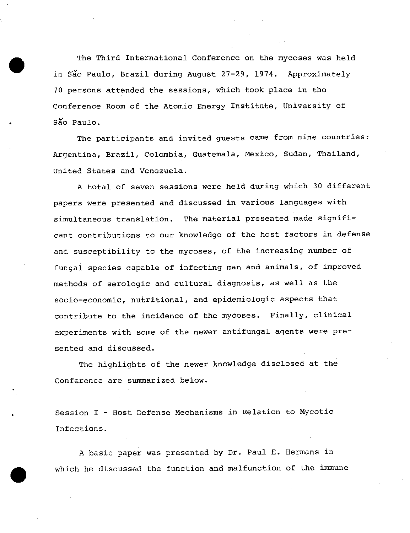The Third International Conference on the mycoses was held in São Paulo, Brazil during August 27-29, 1974. Approximately 70 persons attended the sessions, which took place in the Conference Room of the Atomic Energy Institute, University of São Paulo.

The participants and invited guests came from nine countries: Argentina, Brazil, Colombia, Guatemala, Mexico, Sudan, Thailand, United States and Venezuela.

A total of seven sessions were held during which 30 different papers were presented and discussed in various languages with simultaneous translation. The material presented made significant contributions to our knowledge of the host factors in defense and susceptibility to the mycoses, of the increasing number of fungal species capable of infecting man and animals, of improved methods of serologic and cultural diagnosis, as well as the socio-economic, nutritional, and epidemiologic aspects that contribute to the incidence of the mycoses. Finally, clinical experiments with some of the newer antifungal agents were presented and discussed.

The highlights of the newer knowledge disclosed at the Conference are summarized below.

Session I - Host Defense Mechanisms in Relation to Mycotic Infections.

A basic paper was presented by Dr. Paul E. Hermans in which he discussed the function and malfunction of the immune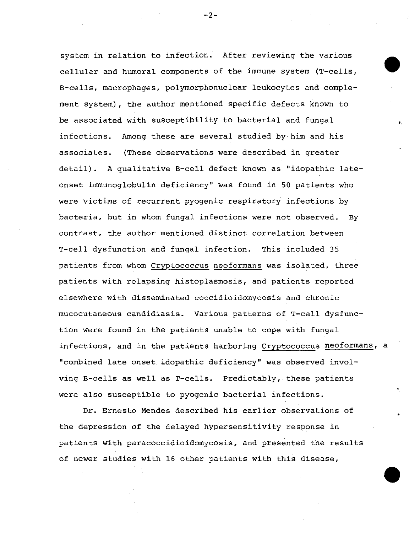system in relation to infection. After reviewing the various cellular and humoral components of the immune system (T-cells, B-cells, macrophages, polymorphonuclear leukocytes and complement system), the author mentioned specific defects known to be associated with susceptibility to bacterial and fungal infections. Among these are several studied by him and his associates. (These observations were described in greater detail). A qualitative B-cell defect known as "idopathic lateonset immunoglobulin deficiency" was found in 50 patients who were victims of recurrent pyogenic respiratory infections by bacteria, but in whom fungal infections were not observed. By contrast, the author mentioned distinct correlation between T-cell dysfunction and fungal infection. This included 35 patients from whom Cryptococcus neoformans was isolated, three patients with relapsing histoplasmosis, and patients reported elsewhere with disseminated coccidioidomycosis and chronic mucocutaneous candidiasis. Various patterns of T-cell dysfunction were found in the patients unable to cope with fungal infections, and in the patients harboring Cryptococcus neoformans, a "combined late onset idopathic deficiency" was observed involving B-cells as well as T-cells. Predictably, these patients were also susceptible to pyogenic bacterial infections.

Dr. Ernesto Mendes described his earlier observations of the depression of the delayed hypersensitivity response in patients with paracoccidioidomycosis, and presented the results of newer studies with 16 other patients with this disease,

- 2-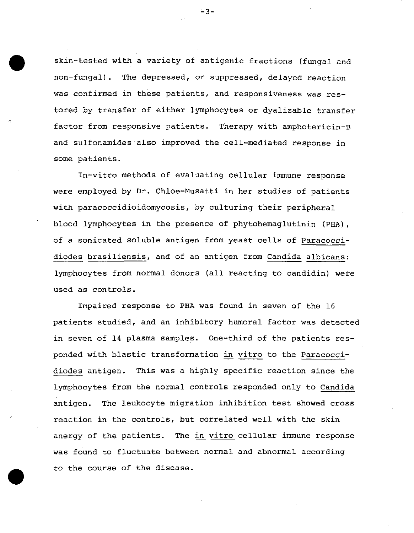skin-tested with a variety of antigenic fractions (fungal and non-fungal). The depressed, or suppressed, delayed reaction was confirmed in these patients, and responsiveness was restored by transfer of either lymphocytes or dyalizable transfer factor from responsive patients. Therapy with amphotericin-B and sulfonamides also improved the cell-mediated response in some patients.

In-vitro methods of evaluating cellular immune response were employed by Dr. Chloe-Musatti in her studies of patients with paracoccidioidomycosis, by culturing their peripheral blood lymphocytes in the presence of phytohemaglutinin (PHA), of a sonicated soluble antigen from yeast cells of Paracoccidiodes brasiliensis, and of an antigen from Candida albicans: lymphocytes from normal donors (all reacting to candidin) were used as controls.

Impaired response to PHA was found in seven of the 16 patients studied, and an inhibitory humoral factor was detected in seven of 14 plasma samples. One-third of the patients responded with blastic transformation in vitro to the Paracoccidiodes antigen. This was a highly specific reaction since the lymphocytes from the normal controls responded only to Candida antigen. The leukocyte migration inhibition test showed cross reaction in the controls, but correlated well with the skin anergy of the patients. The in vitro cellular immune response was found to fluctuate between normal and abnormal according to the course of the disease.

-3-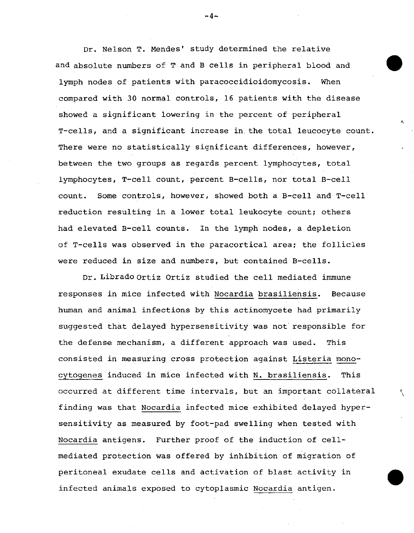Dr. Nelson T. Mendes' study determined the relative and absolute numbers of T and B cells in peripheral blood and lymph nodes of patients with paracoccidioidomycosis. When compared with 30 normal controls, 16 patients with the disease showed a significant lowering in the percent of peripheral T-cells, and a significant increase in the total leucocyte count. There were no statistically significant differences, however, between the two groups as regards percent lymphocytes, total lymphocytes, T-cell count, percent B-cells, nor total B-cell count. Some controls, however, showed both a B-cell and T-cell reduction resulting in a lower total leukocyte count; others had elevated B-cell counts. In the lymph nodes, a depletion of T-cells was observed in the paracortical area; the follicles were reduced in size and numbers, but contained B-cells.

Dr. Librado Ortiz Ortiz studied the cell mediated immune responses in mice infected with Nocardia brasiliensis. Because human and animal infections by this actinomycete had primarily suggested that delayed hypersensitivity was not responsible for the defense mechanism, a different approach was used. This consisted in measuring cross protection against Listeria monocytogenes induced in mice infected with N. brasiliensis. This occurred at different time intervals, but an important collateral finding was that Nocardia infected mice exhibited delayed hypersensitivity as measured by foot-pad swelling when tested with Nocardia antigens. Further proof of the induction of cellmediated protection was offered by inhibition of migration of peritoneal exudate cells and activation of blast activity in infected animals exposed to cytoplasmic Nocardia antigen.

--4-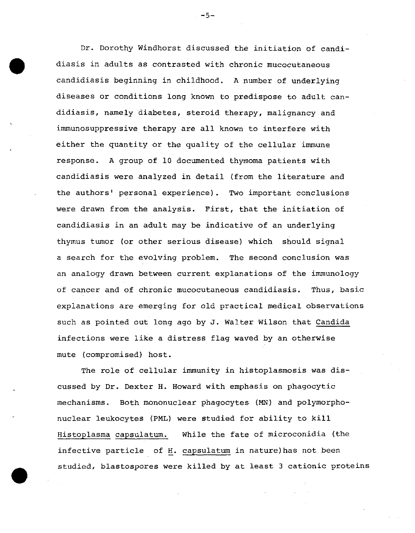Dr. Dorothy Windhorst discussed the initiation of candidiasis in adults as contrasted with chronic mucocutaneous candidiasis beginning in childhood. A number of underlying diseases or conditions long known to predispose to adult candidiasis, namely diabetes, steroid therapy, malignancy and immunosuppressive therapy are all known to interfere with either the quantity or the quality of the cellular immune response. A group of 10 documented thymoma patients with candidiasis were analyzed in detail (from the literature and the authors' personal experience). Two important conclusions were drawn from the analysis. First, that the initiation of candidiasis in an adult may be indicative of an underlying thymus tumor (or other serious disease) which should signal a search for the evolving problem. The second conclusion was an analogy drawn between current explanations of the immunology of cancer and of chronic mucocutaneous candidiasis. Thus, basic explanations are emerging for old practical medical observations such as pointed out long ago by J. Walter Wilson that Candida infections were like a distress flag waved by an otherwise mute (compromised) host.

The role of cellular immunity in histoplasmosis was discussed by Dr. Dexter H. Howard with emphasis on phagocytic mechanisms. Both mononuclear phagocytes (MN) and polymorphonuclear leukocytes (PML) were studied for ability to kill Histoplasma capsulatum. While the fate of microconidia (the infective particle of H. capsulatum in nature)has not been studied, blastospores were killed by at least 3 cationic proteins

-5-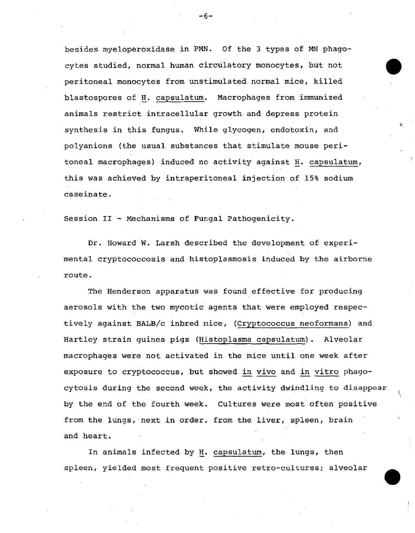besides myeloperoxidase in PMN. Of the 3 types of MN phagocytes studied, normal human circulatory monocytes, but not | peritoneal monocytes from unstimulated normal mice, killed blastospores of H. capsulatum. Macrophages from immunized animals restrict intracellular growth and depress protein synthesis in this fungus. While glycogen, endotoxin, and polyanions (the usual substances that stimulate mouse peritoneal macrophages) induced no activity against H. capsulatum, this was achieved by intraperitoneal injection of 15% sodium caseinate.

Session II - Mechanisms of Fungal Pathogenicity.

Dr. Howard W. Larsh described the development of experimental cryptococcosis and histoplasmosis induced by the airborne route.

The Henderson apparatus was found effective for producing aerosols with the two mycotic agents that were employed respectively against BALB/c inbred mice, (Cryptococcus neoformans) and Hartley strain guinea pigs (Histoplasma capsulatum). Alveolar macrophages were not activated in the mice until one week after exposure to cryptococcus, but showed in vivo and in vitro phagocytosis during the second week, the activity dwindling to disappear by the end of the fourth week. Cultures were most often positive from the lungs, next in order, from the liver, spleen, brain and heart.

In animals infected by H. capsulatum, the lungs, then spleen, yielded most frequent positive retro-cultures; alveolar

-6-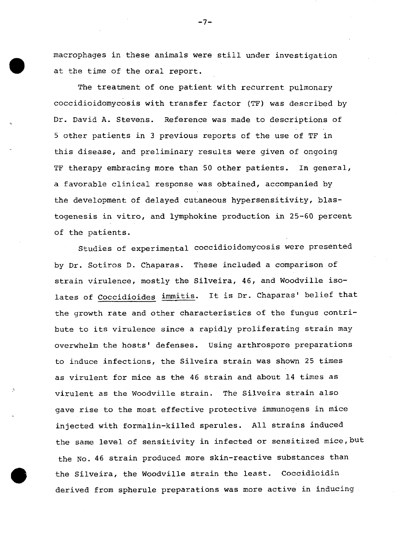macrophages in these animals were still under investigation at the time of the oral report.

The treatment of one patient with recurrent pulmonary coccidioidomycosis with transfer factor (TF) was described by Dr. David A. Stevens. Reference was made to descriptions of 5 other patients in 3 previous reports of the use of TF in this disease, and preliminary results were given of ongoing TF therapy embracing more than 50 other patients. In general, a favorable clinical response was obtained, accompanied by the development of delayed cutaneous hypersensitivity, blastogenesis in vitro, and lymphokine production in 25-60 percent of the patients.

Studies of experimental coccidioidomycosis were presented by Dr. Sotiros D. Chaparas. These included a comparison of strain virulence, mostly the Silveira, 46, and Woodville isolates of Coccidioides immitis. It is Dr. Chaparas' belief that the growth rate and other characteristics of the fungus contribute to its virulence since a rapidly proliferating strain may overwhelm the hosts' defenses. Using arthrospore preparations to induce infections, the Silveira strain was shown 25 times as virulent for mice as the 46 strain and about 14 times as virulent as the Woodville strain. The Silveira strain also gave rise to the most effective protective immunogens in mice injected with formalin-killed sperules. All strains induced the same level of sensitivity in infected or sensitized mice, but the No. 46 strain produced more skin-reactive substances than the Silveira, the Woodville strain the least. Coccidioidin derived from spherule preparations was more active in inducing

-7-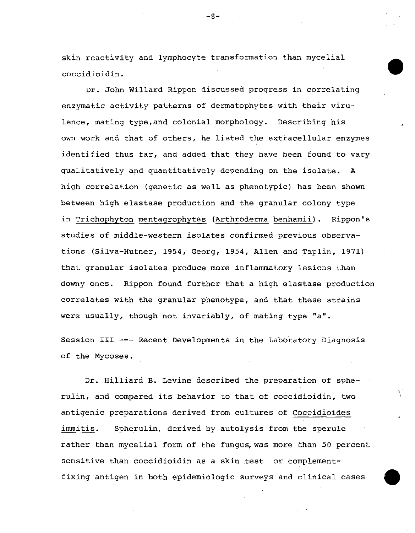skin reactivity and lymphocyte transformation than mycelial coccidioidin.

Dr. John Willard Rippon discussed progress in correlating enzymatic activity patterns of dermatophytes with their virulence, mating type,and colonial morphology. Describing his own work and that of others, he listed the extracellular enzymes identified thus far, and added that they have been found to vary qualitatively and quantitatively depending on the isolate. A high correlation (genetic as well as phenotypic) has been shown between high elastase production and the granular colony type in Trichophyton mentagrophytes (Arthroderma benhamii). Rippon's studies of middle-western isolates confirmed previous observations (Silva-Hutner, 1954, Georg, 1954, Allen and Taplin, 1971) that granular isolates produce more inflammatory lesions than downy ones. Rippon found further that a high elastase production correlates with the granular phenotype, and that these strains were usually, though not invariably, of mating type "a".

Session III --- Recent Developments in the Laboratory Diagnosis of the Mycoses.

Dr. Hilliard B. Levine described the preparation of spherulin, and compared its behavior to that of coccidioidin, two antigenic preparations derived from cultures of Coccidioides immitis. Spherulin, derived by autolysis from the sperule rather than mycelial form of the fungus, was more than 50 percent sensitive than coccidioidin as a skin test or complementfixing antigen in both epidemiologic surveys and clinical cases

-8-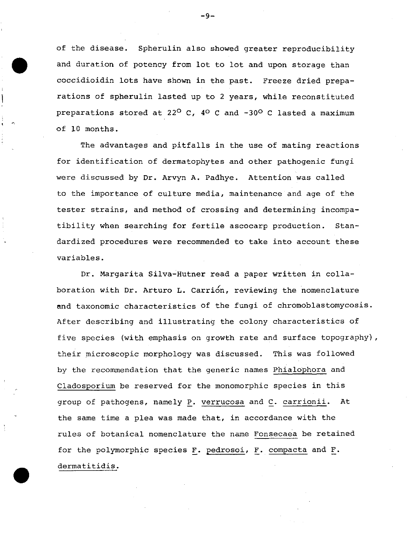of the disease. Spherulin also showed greater reproducibility and duration of potency from lot to lot and upon storage than coccidioidin lots have shown in the past. Freeze dried preparations of spherulin lasted up to 2 years, while reconstituted preparations stored at 22<sup>0</sup> C, 4<sup>0</sup> C and  $-30$ <sup>o</sup> C lasted a maximum of 10 months.

The advantages and pitfalls in the use of mating reactions for identification of dermatophytes and other pathogenic fungi were discussed by Dr. Arvyn A. Padhye. Attention was called to the importance of culture media, maintenance and age of the tester strains, and method of crossing and determining incompatibility when searching for fertile ascocarp production. Standardized procedures were recommended to take into account these variables.

Dr. Margarita Silva-Hutner read a paper written in collaboration with Dr. Arturo L. Carrion, reviewing the nomenclature and taxonomic characteristics of the fungi of chromoblastomycosis. After describing and illustrating the colony characteristics of five species (with emphasis on growth rate and surface topography), their microscopic morphology was discussed. This was followed by the recommendation that the generic names Phialophora and Cladosporium be reserved for the monomorphic species in this group of pathogens, namely P. verrucosa and C. carrionii. At the same time a plea was made that, in accordance with the rules of botanical nomenclature the name Fonsecaea be retained for the polymorphic species F. pedrosoi, F. compacta and F. dermatitidis.

-9-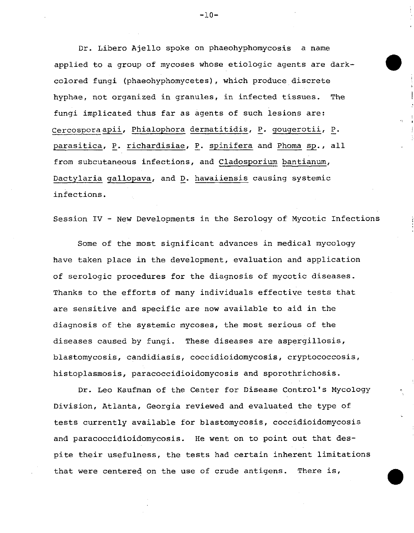Dr. Libero Ajello spoke on phaeohyphomycosis a name applied to a group of mycoses whose etiologic agents are darkcolored fungi (phaeohyphomycetes), which produce discrete hyphae, not organized in granules, in infected tissues. The fungi implicated thus far as agents of such lesions are: Cercosporaapii, Phialophora dermatitidis, P. gougerotii, P. parasitica, P. richardisiae, P. spinifera and Phoma sp., all from subcutaneous infections, and Cladosporium bantianum, Dactylaria gallopava, and D. hawaiiensis causing systemic infections.

Session IV - New Developments in the Serology of Mycotic Infections

Some of the most significant advances in medical mycology have taken place in the development, evaluation and application of serologic procedures for the diagnosis of mycotic diseases. Thanks to the efforts of many individuals effective tests that are sensitive and specific are now available to aid in the diagnosis of the systemic mycoses, the most serious of the diseases caused by fungi. These diseases are aspergillosis, blastomycosis, candidiasis, coccidioidomycosis, cryptococcosis, histoplasmosis, paracoccidioidomycosis and sporothrichosis.

Dr. Leo Kaufman of the Center for Disease Control's Mycology Division, Atlanta, Georgia reviewed and evaluated the type of tests currently available for blastomycosis, coccidioidomycosis and paracoccidioidomycosis. He went on to point out that despite their usefulness, the tests had certain inherent limitations that were centered on the use of crude antigens. There is,

 $-10-$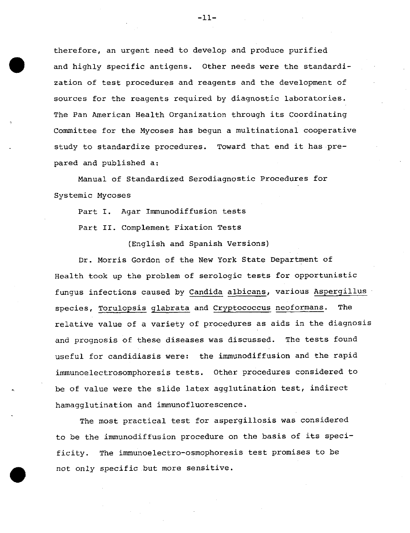therefore, an urgent need to develop and produce purified and highly specific antigens. Other needs were the standardization of test procedures and reagents and the development of sources for the reagents required by diagnostic laboratories. The Pan American Health Organization through its Coordinating Committee for the Mycoses has begun a multinational cooperative study to standardize procedures. Toward that end it has prepared and published a:

Manual of Standardized Serodiagnostic Procedures for Systemic Mycoses

Part I. Agar Immunodiffusion tests

Part II. Complement Fixation Tests

(English and Spanish Versions)

Dr. Morris Gordon of the New York State Department of Health took up the problem of serologic tests for opportunistic fungus infections caused by Candida albicans, various Aspergillus species, Torulopsis glabrata and Cryptococcus neoformans. The relative value of a variety of procedures as aids in the diagnosis and prognosis of these diseases was discussed. The tests found useful for candidiasis were: the immunodiffusion and the rapid immunoelectrosomphoresis tests. Other procedures considered to be of value were the slide latex agglutination test, indirect hamagglutination and immunofluorescence.

The most practical test for aspergillosis was considered to be the immunodiffusion procedure on the basis of its specificity. The immunoelectro-osmophoresis test promises to be not only specific but more sensitive.

-11-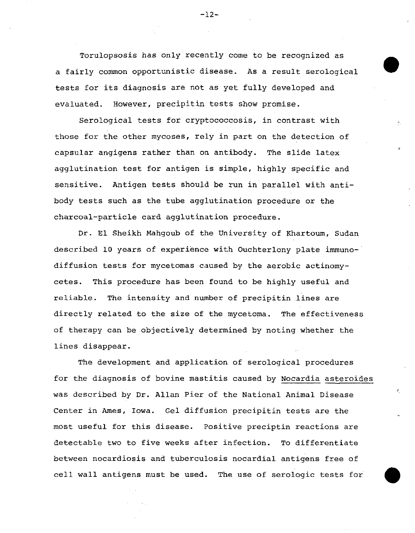Torulopsosis has only recently come to be recognized as a fairly common opportunistic disease. As a result serological tests for its diagnosis are not as yet fully developed and evaluated. However, precipitin tests show promise.

Serological tests for cryptococcosis, in contrast with those for the other mycoses, rely in part on the detection of capsular angigens rather than on antibody. The slide latex agglutination test for antigen is simple, highly specific and sensitive. Antigen tests should be run in parallel with antibody tests such as the tube agglutination procedure or the charcoal-particle card agglutination procedure.

Dr. El Sheikh Mahgoub of the University of Khartoum, Sudan described 10 years of experience with Ouchterlony plate immunodiffusion tests for mycetomas caused by the aerobic actinomycetes. This procedure has been found to be highly useful and reliable. The intensity and nunber of precipitin lines are directly related to the size of the mycetoma. The effectiveness of therapy can be objectively determined by noting whether the lines disappear.

The development and application of serological procedures for the diagnosis of bovine mastitis caused by Nocardia asteroides was described by Dr. Allan Pier of the National Animal Disease Center in Ames, Iowa. Gel diffusion precipitin tests are the most useful for this disease. Positive preciptin reactions are detectable two to five weeks after infection. To differentiate between nocardiosis and tuberculosis nocardial antigens free of cell wall antigens must be used. The use of serologic tests for

 $-12-$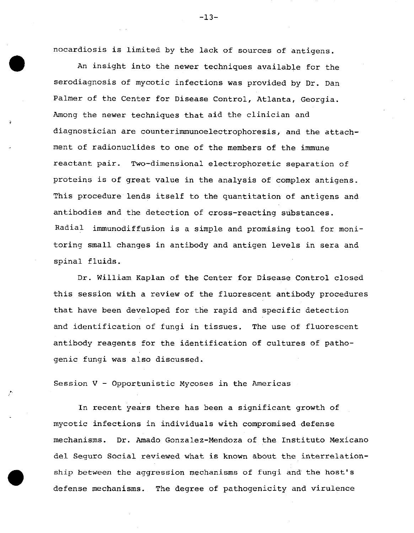nocardiosis is limited by the lack of sources of antigens.

An insight into the newer techniques available for the serodiagnosis of mycotic infections was provided by Dr. Dan Palmer of the Center for Disease Control, Atlanta, Georgia. Among the newer techniques that aid the clinician and diagnostician are counterimmunoelectrophoresis, and the attachment of radionuclides to one of the members of the immune reactant pair. Two-dimensional electrophoretic separation of proteins is of great value in the analysis of complex antigens. This procedure lends itself to the quantitation of antigens and antibodies and the detection of cross-reacting substances. Radial immunodiffusion is a simple and promising tool for monitoring small changes in antibody and antigen levels in sera and spinal fluids.

Dr. William Kaplan of the Center for Disease Control closed this session with a review of the fluorescent antibody procedures that have been developed for the rapid and specific detection and identification of fungi in tissues. The use of fluorescent antibody reagents for the identification of cultures of pathogenic fungi was also discussed.

Session V - Opportunistic Mycoses in the Americas

In recent years there has been a significant growth of mycotic infections in individuals with compromised defense mechanisms. Dr. Amado Gonzalez-Mendoza of the Instituto Mexicano del Seguro Social reviewed what is known about the interrelationship between the aggression mechanisms of fungi and the host's defense mechanisms. The degree of pathogenicity and virulence

-13-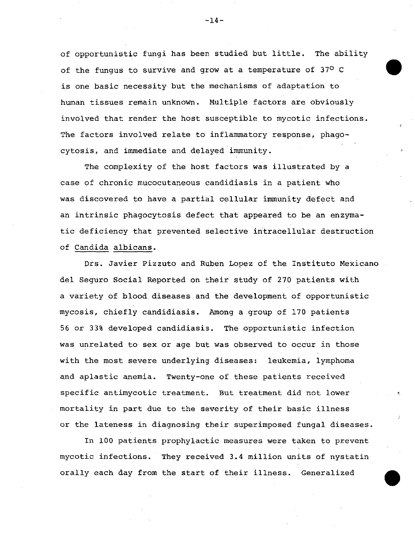of opportunistic fungi has been studied but little. The ability of the fungus to survive and grow at a temperature of 370 C is one basic necessity but the mechanisms of adaptation to human tissues remain unknown. Multiple factors are obviously involved that render the host susceptible to mycotic infections. The factors involved relate to inflammatory response, phagocytosis, and immediate and delayed immunity.

The complexity of the host factors was illustrated by a case of chronic mucocutaneous candidiasis in a patient who was discovered to have a partial cellular immunity defect and an intrinsic phagocytosis defect that appeared to be an enzymatic deficiency that prevented selective intracellular destruction of Candida albicans.

Drs. Javier Pizzuto and Ruben Lopez of the Instituto Mexicano del Seguro Social Reported on their study of 270 patients with a variety of blood diseases and the development of opportunistic mycosis, chiefly candidiasis. Among a group of 170 patients 56 or 33% developed candidiasis. The opportunistic infection was unrelated to sex or age but was observed to occur in those with the most severe underlying diseases: leukemia, lymphoma and aplastic anemia. Twenty-one of these patients received specific antimycotic treatment. But treatment did not lower mortality in part due to the severity of their basic illness or the lateness in diagnosing their superimposed fungal diseases.

In 100 patients prophylactic measures were taken to prevent mycotic infections. They received 3.4 million units of nystatin orally each day from the start of their illness. Generalized

 $-14-$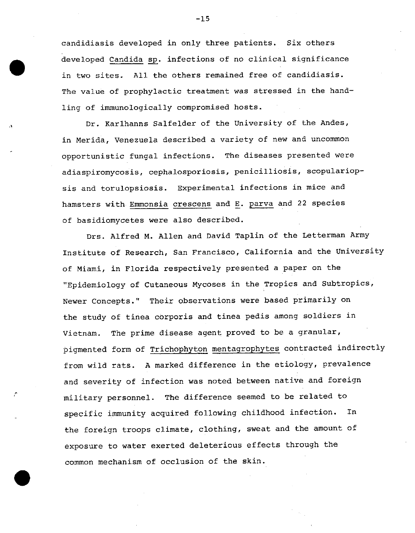candidiasis developed in only three patients. Six others developed Candida sp. infections of no clinical significance in two sites. All the others remained free of candidiasis. The value of prophylactic treatment was stressed in the handling of immunologically compromised hosts.

Dr. Karlhanns Salfelder of the University of the Andes, in Merida, Venezuela described a variety of new and uncommon opportunistic fungal infections. The diseases presented were adiaspiromycosis, cephalosporiosis, penicilliosis, scopulariopsis and torulopsiosis. Experimental infections in mice and hamsters with Emmonsia crescens and E. parva and 22 species of basidiomycetes were also described.

Drs. Alfred M. Allen and David Taplin of the Letterman Army Institute of Research, San Francisco, California and the University of Miami, in Florida respectively presented a paper on the "Epidemiology of Cutaneous Mycoses in the Tropics and Subtropics, Newer Concepts." Their observations were based primarily on the study of tinea corporis and tinea pedis among soldiers in Vietnam. The prime disease agent proved to be a granular, pigmented form of Trichophyton mentagrophytes contracted indirectly from wild rats. A marked difference in the etiology, prevalence and severity of infection was noted between native and foreign military personnel. The difference seemed to be related to specific immunity acquired following childhood infection. In the foreign troops climate, clothing, sweat and the amount of exposure to water exerted deleterious effects through the common mechanism of occlusion of the skin.

-15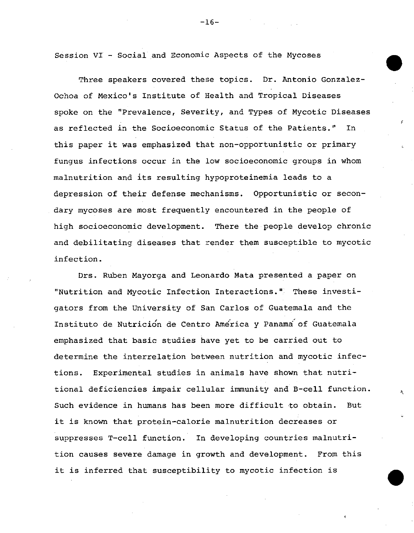Session VI - Social and Economic Aspects of the Mycoses

Three speakers covered these topics. Dr. Antonio Gonzalez-Ochoa of Mexico's Institute of Health and Tropical Diseases spoke on the "Prevalence, Severity, and Types of Mycotic Diseases as reflected in the Socioeconomic Status of the Patients." In this paper it was emphasized that non-opportunistic or primary fungus infections occur in the low socioeconomic groups in whom malnutrition and its resulting hypoproteinemia leads to a depression of their defense mechanisms. Opportunistic or secondary mycoses are most frequently encountered in the people of high socioeconomic development. There the people develop chronic and debilitating diseases that render them susceptible to mycotic infection.

Drs. Ruben Mayorga and Leonardo Mata presented a paper on "Nutrition and Mycotic Infection Interactions." These investigators from the University of San Carlos of Guatemala and the Instituto de Nutrición de Centro America y Panama of Guatemala emphasized that basic studies have yet to be carried out to determine the interrelation between nutrition and mycotic infections. Experimental studies in animals have shown that nutritional deficiencies impair cellular immunity and B-cell function. Such evidence in humans has been more difficult to obtain. But it is known that protein-calorie malnutrition decreases or suppresses T-cell function. In developing countries malnutrition causes severe damage in growth and development. From this it is inferred that susceptibility to mycotic infection is

 $-16-$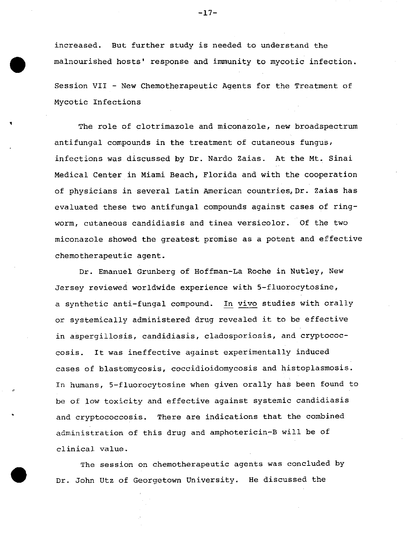increased. But further study is needed to understand the malnourished hosts' response and immunity to mycotic infection.

Session VII - New Chemotherapeutic Agents for the Treatment of Mycotic Infections

The role of clotrimazole and miconazole, new broadspectrum antifungal compounds in the treatment of cutaneous fungus, infections was discussed by Dr. Nardo Zaias. At the Mt. Sinai Medical Center in Miami Beach, Florida and with the cooperation of physicians in several Latin American countries, Dr. Zaias has evaluated these two antifungal compounds against cases of ringworm, cutaneous candidiasis and tinea versicolor. Of the two miconazole showed the greatest promise as a potent and effective chemotherapeutic agent.

Dr. Emanuel Grunberg of Hoffman-La Roche in Nutley, New Jersey reviewed worldwide experience with 5-fluorocytosine, a synthetic anti-fungal compound. In vivo studies with orally or systemically administered drug revealed it to be effective in aspergillosis, candidiasis, cladosporiosis, and cryptococcosis. It was ineffective against experimentally induced cases of blastomycosis, coccidioidomycosis and histoplasmosis. In humans, 5-fluorocytosine when given orally has been found to be of low toxicity and effective against systemic candidiasis and cryptococcosis. There are indications that the combined administration of this drug and amphotericin-B will be of clinical value.

The session on chemotherapeutic agents was concluded by Dr. John Utz of Georgetown University. He discussed the

 $-17-$